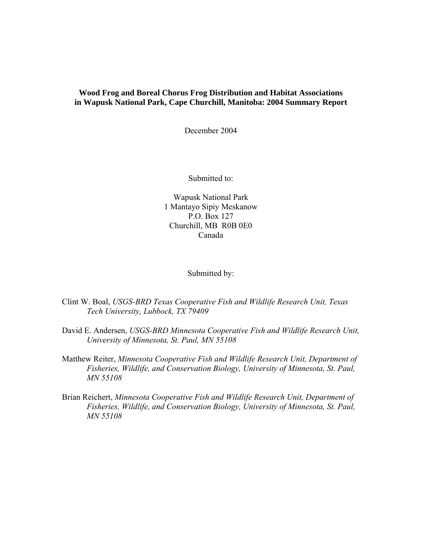# **Wood Frog and Boreal Chorus Frog Distribution and Habitat Associations in Wapusk National Park, Cape Churchill, Manitoba: 2004 Summary Report**

December 2004

Submitted to:

Wapusk National Park 1 Mantayo Sipiy Meskanow P.O. Box 127 Churchill, MB R0B 0E0 Canada

Submitted by:

Clint W. Boal, *USGS-BRD Texas Cooperative Fish and Wildlife Research Unit, Texas Tech University, Lubbock, TX 79409*

- David E. Andersen, *USGS-BRD Minnesota Cooperative Fish and Wildlife Research Unit, University of Minnesota, St. Paul, MN 55108*
- Matthew Reiter, *Minnesota Cooperative Fish and Wildlife Research Unit, Department of Fisheries, Wildlife, and Conservation Biology, University of Minnesota, St. Paul, MN 55108*
- Brian Reichert, *Minnesota Cooperative Fish and Wildlife Research Unit, Department of Fisheries, Wildlife, and Conservation Biology, University of Minnesota, St. Paul, MN 55108*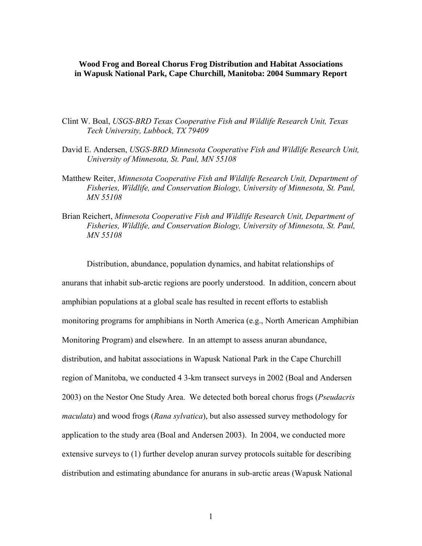## **Wood Frog and Boreal Chorus Frog Distribution and Habitat Associations in Wapusk National Park, Cape Churchill, Manitoba: 2004 Summary Report**

- Clint W. Boal, *USGS-BRD Texas Cooperative Fish and Wildlife Research Unit, Texas Tech University, Lubbock, TX 79409*
- David E. Andersen, *USGS-BRD Minnesota Cooperative Fish and Wildlife Research Unit, University of Minnesota, St. Paul, MN 55108*
- Matthew Reiter, *Minnesota Cooperative Fish and Wildlife Research Unit, Department of Fisheries, Wildlife, and Conservation Biology, University of Minnesota, St. Paul, MN 55108*
- Brian Reichert, *Minnesota Cooperative Fish and Wildlife Research Unit, Department of Fisheries, Wildlife, and Conservation Biology, University of Minnesota, St. Paul, MN 55108*

 Distribution, abundance, population dynamics, and habitat relationships of anurans that inhabit sub-arctic regions are poorly understood. In addition, concern about amphibian populations at a global scale has resulted in recent efforts to establish monitoring programs for amphibians in North America (e.g., North American Amphibian Monitoring Program) and elsewhere. In an attempt to assess anuran abundance, distribution, and habitat associations in Wapusk National Park in the Cape Churchill region of Manitoba, we conducted 4 3-km transect surveys in 2002 (Boal and Andersen 2003) on the Nestor One Study Area. We detected both boreal chorus frogs (*Pseudacris maculata*) and wood frogs (*Rana sylvatica*), but also assessed survey methodology for application to the study area (Boal and Andersen 2003). In 2004, we conducted more extensive surveys to (1) further develop anuran survey protocols suitable for describing distribution and estimating abundance for anurans in sub-arctic areas (Wapusk National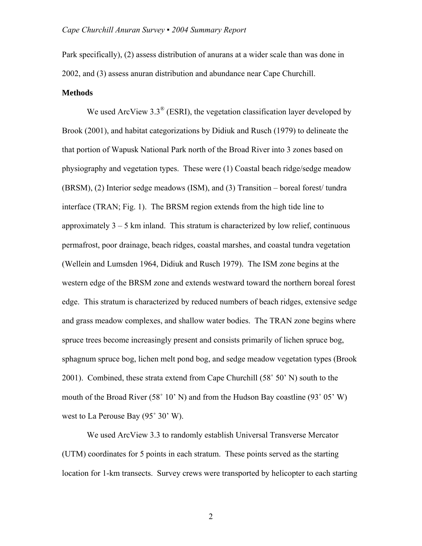Park specifically), (2) assess distribution of anurans at a wider scale than was done in 2002, and (3) assess anuran distribution and abundance near Cape Churchill.

#### **Methods**

We used ArcView  $3.3^{\circ}$  (ESRI), the vegetation classification layer developed by Brook (2001), and habitat categorizations by Didiuk and Rusch (1979) to delineate the that portion of Wapusk National Park north of the Broad River into 3 zones based on physiography and vegetation types. These were (1) Coastal beach ridge/sedge meadow (BRSM), (2) Interior sedge meadows (ISM), and (3) Transition – boreal forest/ tundra interface (TRAN; Fig. 1). The BRSM region extends from the high tide line to approximately  $3 - 5$  km inland. This stratum is characterized by low relief, continuous permafrost, poor drainage, beach ridges, coastal marshes, and coastal tundra vegetation (Wellein and Lumsden 1964, Didiuk and Rusch 1979). The ISM zone begins at the western edge of the BRSM zone and extends westward toward the northern boreal forest edge. This stratum is characterized by reduced numbers of beach ridges, extensive sedge and grass meadow complexes, and shallow water bodies. The TRAN zone begins where spruce trees become increasingly present and consists primarily of lichen spruce bog, sphagnum spruce bog, lichen melt pond bog, and sedge meadow vegetation types (Brook 2001). Combined, these strata extend from Cape Churchill (58˚ 50' N) south to the mouth of the Broad River (58° 10' N) and from the Hudson Bay coastline (93° 05' W) west to La Perouse Bay (95˚ 30' W).

We used ArcView 3.3 to randomly establish Universal Transverse Mercator (UTM) coordinates for 5 points in each stratum. These points served as the starting location for 1-km transects. Survey crews were transported by helicopter to each starting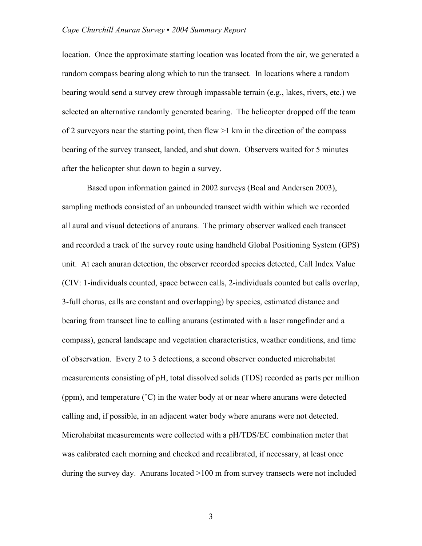location. Once the approximate starting location was located from the air, we generated a random compass bearing along which to run the transect. In locations where a random bearing would send a survey crew through impassable terrain (e.g., lakes, rivers, etc.) we selected an alternative randomly generated bearing. The helicopter dropped off the team of 2 surveyors near the starting point, then flew  $>1$  km in the direction of the compass bearing of the survey transect, landed, and shut down. Observers waited for 5 minutes after the helicopter shut down to begin a survey.

Based upon information gained in 2002 surveys (Boal and Andersen 2003), sampling methods consisted of an unbounded transect width within which we recorded all aural and visual detections of anurans. The primary observer walked each transect and recorded a track of the survey route using handheld Global Positioning System (GPS) unit. At each anuran detection, the observer recorded species detected, Call Index Value (CIV: 1-individuals counted, space between calls, 2-individuals counted but calls overlap, 3-full chorus, calls are constant and overlapping) by species, estimated distance and bearing from transect line to calling anurans (estimated with a laser rangefinder and a compass), general landscape and vegetation characteristics, weather conditions, and time of observation. Every 2 to 3 detections, a second observer conducted microhabitat measurements consisting of pH, total dissolved solids (TDS) recorded as parts per million (ppm), and temperature (˚C) in the water body at or near where anurans were detected calling and, if possible, in an adjacent water body where anurans were not detected. Microhabitat measurements were collected with a pH/TDS/EC combination meter that was calibrated each morning and checked and recalibrated, if necessary, at least once during the survey day. Anurans located >100 m from survey transects were not included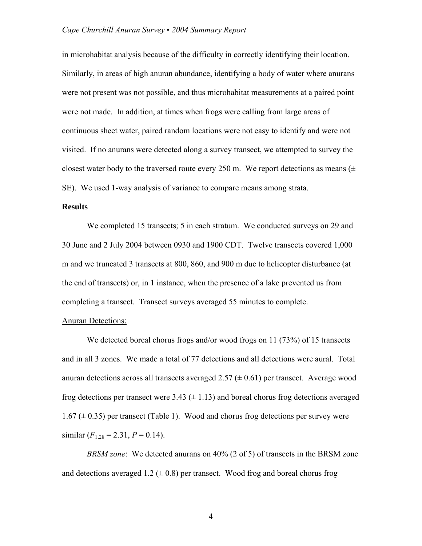in microhabitat analysis because of the difficulty in correctly identifying their location. Similarly, in areas of high anuran abundance, identifying a body of water where anurans were not present was not possible, and thus microhabitat measurements at a paired point were not made. In addition, at times when frogs were calling from large areas of continuous sheet water, paired random locations were not easy to identify and were not visited. If no anurans were detected along a survey transect, we attempted to survey the closest water body to the traversed route every 250 m. We report detections as means  $(±)$ SE). We used 1-way analysis of variance to compare means among strata.

## **Results**

We completed 15 transects; 5 in each stratum. We conducted surveys on 29 and 30 June and 2 July 2004 between 0930 and 1900 CDT. Twelve transects covered 1,000 m and we truncated 3 transects at 800, 860, and 900 m due to helicopter disturbance (at the end of transects) or, in 1 instance, when the presence of a lake prevented us from completing a transect. Transect surveys averaged 55 minutes to complete.

### **Anuran Detections:**

We detected boreal chorus frogs and/or wood frogs on 11 (73%) of 15 transects and in all 3 zones. We made a total of 77 detections and all detections were aural. Total anuran detections across all transects averaged  $2.57 \left( \pm 0.61 \right)$  per transect. Average wood frog detections per transect were  $3.43 \ (\pm 1.13)$  and boreal chorus frog detections averaged  $1.67 \ (\pm 0.35)$  per transect (Table 1). Wood and chorus frog detections per survey were similar  $(F_{1,28} = 2.31, P = 0.14)$ .

*BRSM zone*: We detected anurans on 40% (2 of 5) of transects in the BRSM zone and detections averaged 1.2 ( $\pm$  0.8) per transect. Wood frog and boreal chorus frog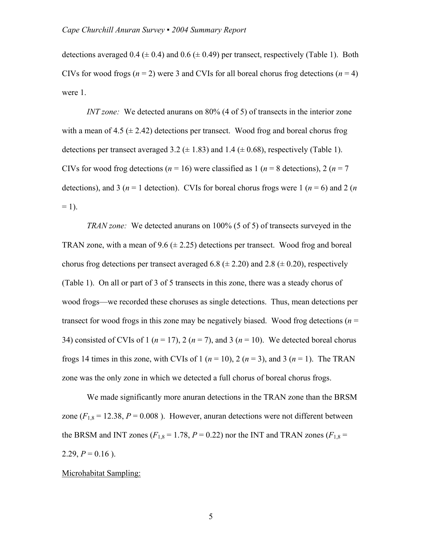detections averaged  $0.4 \ (\pm 0.4)$  and  $0.6 \ (\pm 0.49)$  per transect, respectively (Table 1). Both CIVs for wood frogs ( $n = 2$ ) were 3 and CVIs for all boreal chorus frog detections ( $n = 4$ ) were 1.

*INT zone:* We detected anurans on 80% (4 of 5) of transects in the interior zone with a mean of  $4.5 \ (\pm 2.42)$  detections per transect. Wood frog and boreal chorus frog detections per transect averaged 3.2 ( $\pm$  1.83) and 1.4 ( $\pm$  0.68), respectively (Table 1). CIVs for wood frog detections ( $n = 16$ ) were classified as 1 ( $n = 8$  detections), 2 ( $n = 7$ ) detections), and 3 ( $n = 1$  detection). CVIs for boreal chorus frogs were 1 ( $n = 6$ ) and 2 ( $n = 1$ )  $= 1$ ).

*TRAN zone:* We detected anurans on 100% (5 of 5) of transects surveyed in the TRAN zone, with a mean of 9.6  $(\pm 2.25)$  detections per transect. Wood frog and boreal chorus frog detections per transect averaged 6.8 ( $\pm$  2.20) and 2.8 ( $\pm$  0.20), respectively (Table 1). On all or part of 3 of 5 transects in this zone, there was a steady chorus of wood frogs—we recorded these choruses as single detections. Thus, mean detections per transect for wood frogs in this zone may be negatively biased. Wood frog detections (*n* = 34) consisted of CVIs of 1 ( $n = 17$ ), 2 ( $n = 7$ ), and 3 ( $n = 10$ ). We detected boreal chorus frogs 14 times in this zone, with CVIs of 1  $(n = 10)$ , 2  $(n = 3)$ , and 3  $(n = 1)$ . The TRAN zone was the only zone in which we detected a full chorus of boreal chorus frogs.

We made significantly more anuran detections in the TRAN zone than the BRSM zone  $(F_{1,8} = 12.38, P = 0.008)$ . However, anuran detections were not different between the BRSM and INT zones ( $F_{1,8}$  = 1.78,  $P = 0.22$ ) nor the INT and TRAN zones ( $F_{1,8}$  = 2.29,  $P = 0.16$ ).

### Microhabitat Sampling: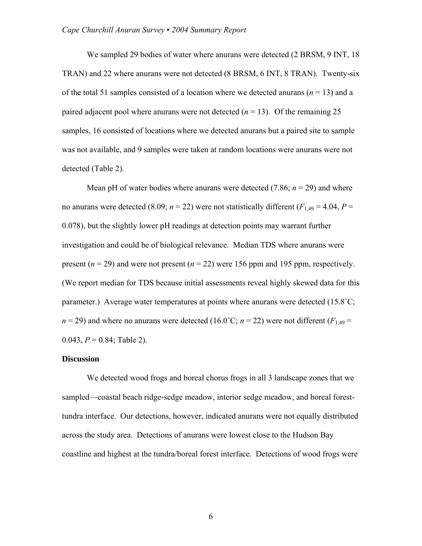We sampled 29 bodies of water where anurans were detected (2 BRSM, 9 INT, 18) TRAN) and 22 where anurans were not detected (8 BRSM, 6 INT, 8 TRAN). Twenty-six of the total 51 samples consisted of a location where we detected anurans (*n* = 13) and a paired adjacent pool where anurans were not detected  $(n = 13)$ . Of the remaining 25 samples, 16 consisted of locations where we detected anurans but a paired site to sample was not available, and 9 samples were taken at random locations were anurans were not detected (Table 2).

Mean pH of water bodies where anurans were detected  $(7.86; n = 29)$  and where no anurans were detected (8.09;  $n = 22$ ) were not statistically different ( $F_{1,49} = 4.04$ ,  $P =$ 0.078), but the slightly lower pH readings at detection points may warrant further investigation and could be of biological relevance. Median TDS where anurans were present ( $n = 29$ ) and were not present ( $n = 22$ ) were 156 ppm and 195 ppm, respectively. (We report median for TDS because initial assessments reveal highly skewed data for this parameter.) Average water temperatures at points where anurans were detected (15.8°C;  $n = 29$ ) and where no anurans were detected (16.0°C;  $n = 22$ ) were not different ( $F_{1,49} =$ 0.043,  $P = 0.84$ ; Table 2).

#### **Discussion**

We detected wood frogs and boreal chorus frogs in all 3 landscape zones that we sampled—coastal beach ridge-sedge meadow, interior sedge meadow, and boreal foresttundra interface. Our detections, however, indicated anurans were not equally distributed across the study area. Detections of anurans were lowest close to the Hudson Bay coastline and highest at the tundra/boreal forest interface. Detections of wood frogs were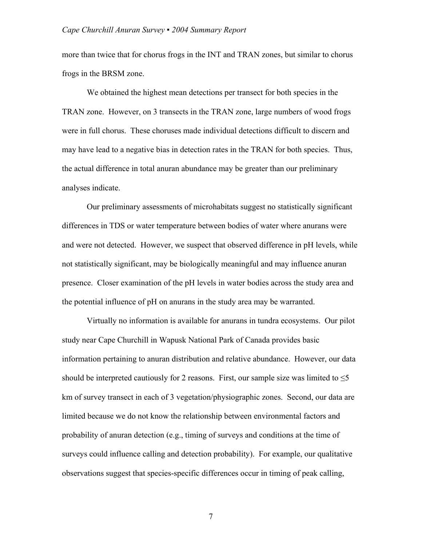more than twice that for chorus frogs in the INT and TRAN zones, but similar to chorus frogs in the BRSM zone.

We obtained the highest mean detections per transect for both species in the TRAN zone. However, on 3 transects in the TRAN zone, large numbers of wood frogs were in full chorus. These choruses made individual detections difficult to discern and may have lead to a negative bias in detection rates in the TRAN for both species. Thus, the actual difference in total anuran abundance may be greater than our preliminary analyses indicate.

Our preliminary assessments of microhabitats suggest no statistically significant differences in TDS or water temperature between bodies of water where anurans were and were not detected. However, we suspect that observed difference in pH levels, while not statistically significant, may be biologically meaningful and may influence anuran presence. Closer examination of the pH levels in water bodies across the study area and the potential influence of pH on anurans in the study area may be warranted.

Virtually no information is available for anurans in tundra ecosystems. Our pilot study near Cape Churchill in Wapusk National Park of Canada provides basic information pertaining to anuran distribution and relative abundance. However, our data should be interpreted cautiously for 2 reasons. First, our sample size was limited to  $\leq$ 5 km of survey transect in each of 3 vegetation/physiographic zones. Second, our data are limited because we do not know the relationship between environmental factors and probability of anuran detection (e.g., timing of surveys and conditions at the time of surveys could influence calling and detection probability). For example, our qualitative observations suggest that species-specific differences occur in timing of peak calling,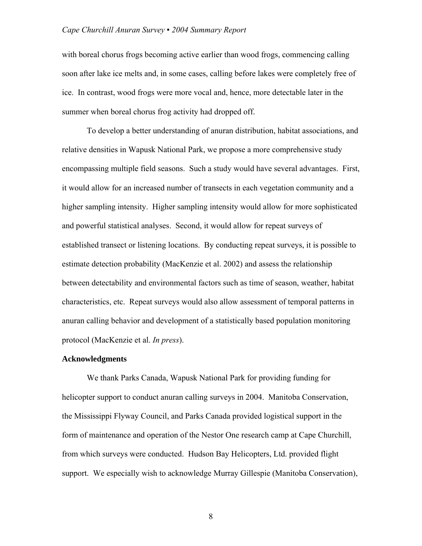with boreal chorus frogs becoming active earlier than wood frogs, commencing calling soon after lake ice melts and, in some cases, calling before lakes were completely free of ice. In contrast, wood frogs were more vocal and, hence, more detectable later in the summer when boreal chorus frog activity had dropped off.

To develop a better understanding of anuran distribution, habitat associations, and relative densities in Wapusk National Park, we propose a more comprehensive study encompassing multiple field seasons. Such a study would have several advantages. First, it would allow for an increased number of transects in each vegetation community and a higher sampling intensity. Higher sampling intensity would allow for more sophisticated and powerful statistical analyses. Second, it would allow for repeat surveys of established transect or listening locations. By conducting repeat surveys, it is possible to estimate detection probability (MacKenzie et al. 2002) and assess the relationship between detectability and environmental factors such as time of season, weather, habitat characteristics, etc. Repeat surveys would also allow assessment of temporal patterns in anuran calling behavior and development of a statistically based population monitoring protocol (MacKenzie et al. *In press*).

## **Acknowledgments**

We thank Parks Canada, Wapusk National Park for providing funding for helicopter support to conduct anuran calling surveys in 2004. Manitoba Conservation, the Mississippi Flyway Council, and Parks Canada provided logistical support in the form of maintenance and operation of the Nestor One research camp at Cape Churchill, from which surveys were conducted. Hudson Bay Helicopters, Ltd. provided flight support. We especially wish to acknowledge Murray Gillespie (Manitoba Conservation),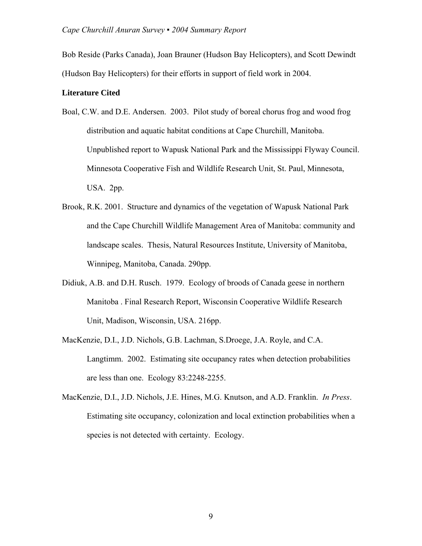Bob Reside (Parks Canada), Joan Brauner (Hudson Bay Helicopters), and Scott Dewindt (Hudson Bay Helicopters) for their efforts in support of field work in 2004.

## **Literature Cited**

- Boal, C.W. and D.E. Andersen. 2003. Pilot study of boreal chorus frog and wood frog distribution and aquatic habitat conditions at Cape Churchill, Manitoba. Unpublished report to Wapusk National Park and the Mississippi Flyway Council. Minnesota Cooperative Fish and Wildlife Research Unit, St. Paul, Minnesota, USA. 2pp.
- Brook, R.K. 2001. Structure and dynamics of the vegetation of Wapusk National Park and the Cape Churchill Wildlife Management Area of Manitoba: community and landscape scales. Thesis, Natural Resources Institute, University of Manitoba, Winnipeg, Manitoba, Canada. 290pp.
- Didiuk, A.B. and D.H. Rusch. 1979. Ecology of broods of Canada geese in northern Manitoba . Final Research Report, Wisconsin Cooperative Wildlife Research Unit, Madison, Wisconsin, USA. 216pp.
- MacKenzie, D.I., J.D. Nichols, G.B. Lachman, S.Droege, J.A. Royle, and C.A. Langtimm. 2002. Estimating site occupancy rates when detection probabilities are less than one. Ecology 83:2248-2255.
- MacKenzie, D.I., J.D. Nichols, J.E. Hines, M.G. Knutson, and A.D. Franklin. *In Press*. Estimating site occupancy, colonization and local extinction probabilities when a species is not detected with certainty. Ecology.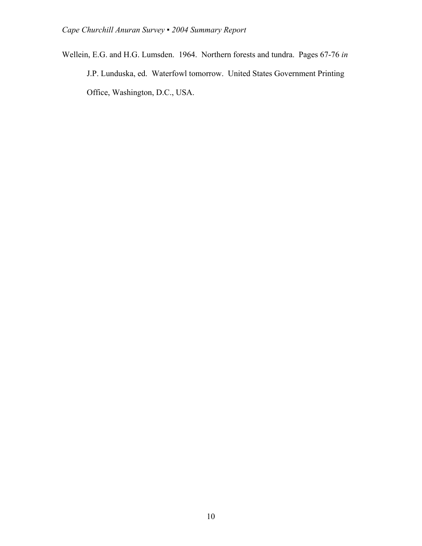Wellein, E.G. and H.G. Lumsden. 1964. Northern forests and tundra. Pages 67-76 *in* J.P. Lunduska, ed. Waterfowl tomorrow. United States Government Printing Office, Washington, D.C., USA.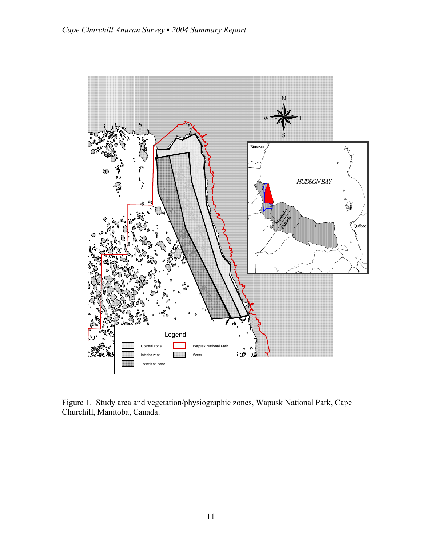

Figure 1. Study area and vegetation/physiographic zones, Wapusk National Park, Cape Churchill, Manitoba, Canada.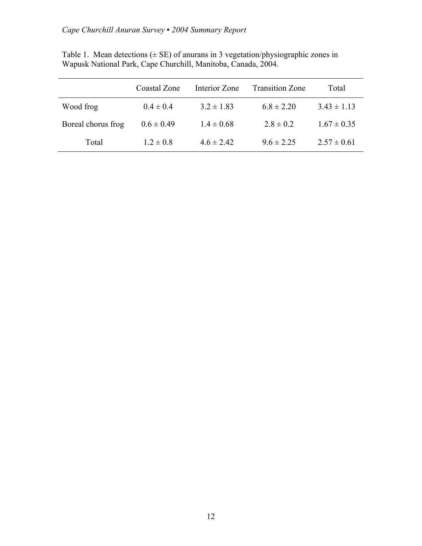|                    | Coastal Zone   | Interior Zone  | <b>Transition Zone</b> | Total           |
|--------------------|----------------|----------------|------------------------|-----------------|
| Wood frog          | $0.4 \pm 0.4$  | $3.2 \pm 1.83$ | $6.8 \pm 2.20$         | $3.43 \pm 1.13$ |
| Boreal chorus frog | $0.6 \pm 0.49$ | $1.4 \pm 0.68$ | $2.8 \pm 0.2$          | $1.67 \pm 0.35$ |
| Total              | $1.2 \pm 0.8$  | $4.6 \pm 2.42$ | $9.6 \pm 2.25$         | $2.57 \pm 0.61$ |

Table 1. Mean detections  $(\pm \text{ SE})$  of anurans in 3 vegetation/physiographic zones in Wapusk National Park, Cape Churchill, Manitoba, Canada, 2004.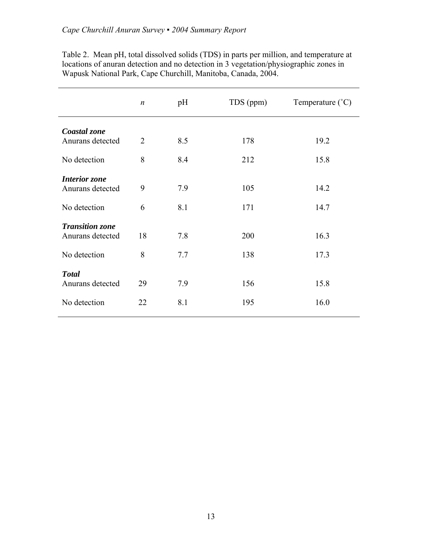|                        | $\boldsymbol{n}$ | pH  | TDS (ppm) | Temperature $(^{\circ}C)$ |
|------------------------|------------------|-----|-----------|---------------------------|
| Coastal zone           |                  |     |           |                           |
| Anurans detected       | 2                | 8.5 | 178       | 19.2                      |
| No detection           | 8                | 8.4 | 212       | 15.8                      |
| <b>Interior</b> zone   |                  |     |           |                           |
| Anurans detected       | 9                | 7.9 | 105       | 14.2                      |
| No detection           | 6                | 8.1 | 171       | 14.7                      |
| <b>Transition zone</b> |                  |     |           |                           |
| Anurans detected       | 18               | 7.8 | 200       | 16.3                      |
| No detection           | 8                | 7.7 | 138       | 17.3                      |
| <b>Total</b>           |                  |     |           |                           |
| Anurans detected       | 29               | 7.9 | 156       | 15.8                      |
| No detection           | 22               | 8.1 | 195       | 16.0                      |

Table 2. Mean pH, total dissolved solids (TDS) in parts per million, and temperature at locations of anuran detection and no detection in 3 vegetation/physiographic zones in Wapusk National Park, Cape Churchill, Manitoba, Canada, 2004.